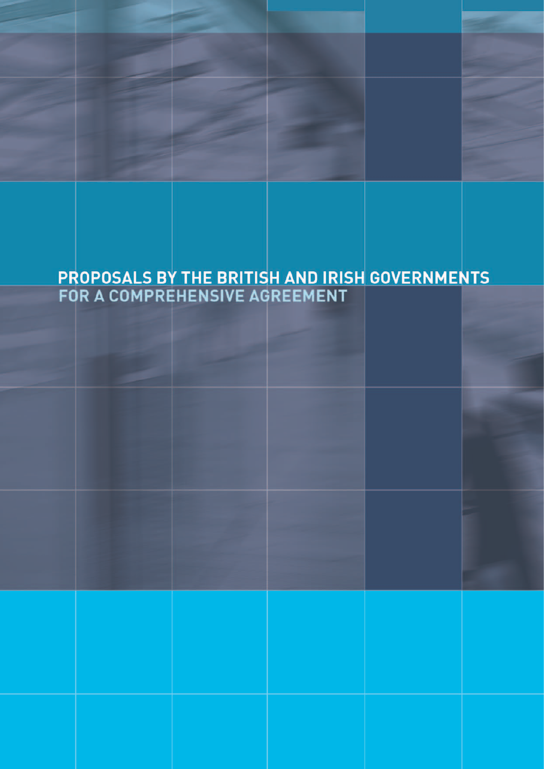# **PROPOSALS BY THE BRITISH AND IRISH GOVERNMENTS**<br>FOR A COMPREHENSIVE AGREEMENT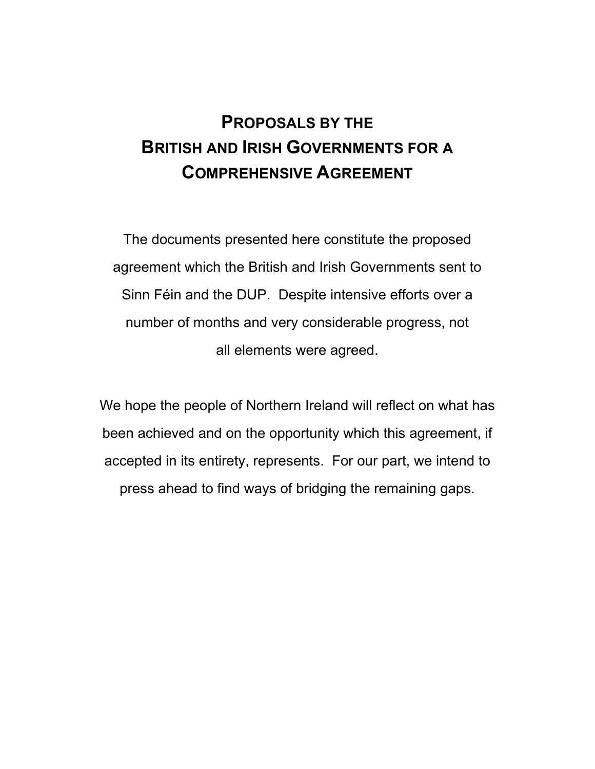# **PROPOSALS BY THE BRITISH AND IRISH GOVERNMENTS FOR A COMPREHENSIVE AGREEMENT**

The documents presented here constitute the proposed agreement which the British and Irish Governments sent to Sinn Féin and the DUP. Despite intensive efforts over a number of months and very considerable progress, not all elements were agreed.

We hope the people of Northern Ireland will reflect on what has been achieved and on the opportunity which this agreement, if accepted in its entirety, represents. For our part, we intend to press ahead to find ways of bridging the remaining gaps.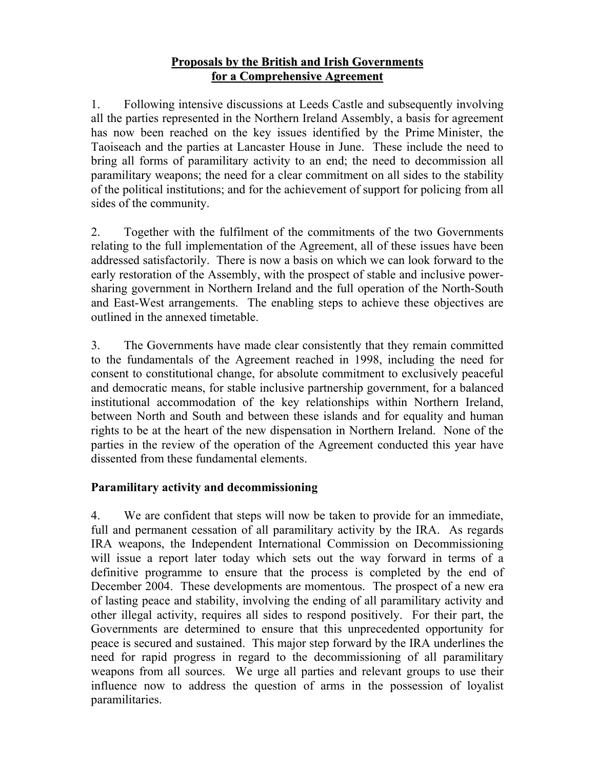# **Proposals by the British and Irish Governments for a Comprehensive Agreement**

1. Following intensive discussions at Leeds Castle and subsequently involving all the parties represented in the Northern Ireland Assembly, a basis for agreement has now been reached on the key issues identified by the Prime Minister, the Taoiseach and the parties at Lancaster House in June. These include the need to bring all forms of paramilitary activity to an end; the need to decommission all paramilitary weapons; the need for a clear commitment on all sides to the stability of the political institutions; and for the achievement of support for policing from all sides of the community.

2. Together with the fulfilment of the commitments of the two Governments relating to the full implementation of the Agreement, all of these issues have been addressed satisfactorily. There is now a basis on which we can look forward to the early restoration of the Assembly, with the prospect of stable and inclusive powersharing government in Northern Ireland and the full operation of the North-South and East-West arrangements. The enabling steps to achieve these objectives are outlined in the annexed timetable.

3. The Governments have made clear consistently that they remain committed to the fundamentals of the Agreement reached in 1998, including the need for consent to constitutional change, for absolute commitment to exclusively peaceful and democratic means, for stable inclusive partnership government, for a balanced institutional accommodation of the key relationships within Northern Ireland, between North and South and between these islands and for equality and human rights to be at the heart of the new dispensation in Northern Ireland. None of the parties in the review of the operation of the Agreement conducted this year have dissented from these fundamental elements.

# **Paramilitary activity and decommissioning**

4. We are confident that steps will now be taken to provide for an immediate, full and permanent cessation of all paramilitary activity by the IRA. As regards IRA weapons, the Independent International Commission on Decommissioning will issue a report later today which sets out the way forward in terms of a definitive programme to ensure that the process is completed by the end of December 2004. These developments are momentous. The prospect of a new era of lasting peace and stability, involving the ending of all paramilitary activity and other illegal activity, requires all sides to respond positively. For their part, the Governments are determined to ensure that this unprecedented opportunity for peace is secured and sustained. This major step forward by the IRA underlines the need for rapid progress in regard to the decommissioning of all paramilitary weapons from all sources. We urge all parties and relevant groups to use their influence now to address the question of arms in the possession of loyalist paramilitaries.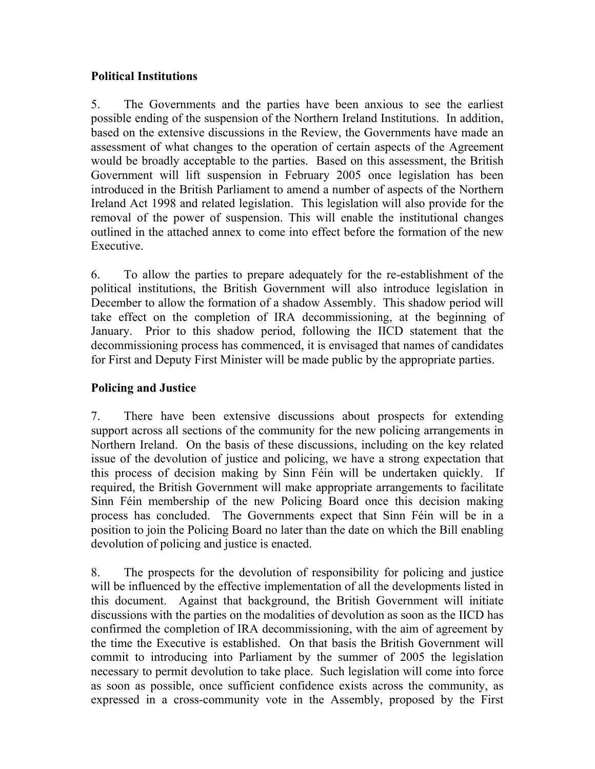# **Political Institutions**

5. The Governments and the parties have been anxious to see the earliest possible ending of the suspension of the Northern Ireland Institutions. In addition, based on the extensive discussions in the Review, the Governments have made an assessment of what changes to the operation of certain aspects of the Agreement would be broadly acceptable to the parties. Based on this assessment, the British Government will lift suspension in February 2005 once legislation has been introduced in the British Parliament to amend a number of aspects of the Northern Ireland Act 1998 and related legislation. This legislation will also provide for the removal of the power of suspension. This will enable the institutional changes outlined in the attached annex to come into effect before the formation of the new Executive.

6. To allow the parties to prepare adequately for the re-establishment of the political institutions, the British Government will also introduce legislation in December to allow the formation of a shadow Assembly. This shadow period will take effect on the completion of IRA decommissioning, at the beginning of January. Prior to this shadow period, following the IICD statement that the decommissioning process has commenced, it is envisaged that names of candidates for First and Deputy First Minister will be made public by the appropriate parties.

# **Policing and Justice**

7. There have been extensive discussions about prospects for extending support across all sections of the community for the new policing arrangements in Northern Ireland. On the basis of these discussions, including on the key related issue of the devolution of justice and policing, we have a strong expectation that this process of decision making by Sinn Féin will be undertaken quickly. If required, the British Government will make appropriate arrangements to facilitate Sinn Féin membership of the new Policing Board once this decision making process has concluded. The Governments expect that Sinn Féin will be in a position to join the Policing Board no later than the date on which the Bill enabling devolution of policing and justice is enacted.

8. The prospects for the devolution of responsibility for policing and justice will be influenced by the effective implementation of all the developments listed in this document. Against that background, the British Government will initiate discussions with the parties on the modalities of devolution as soon as the IICD has confirmed the completion of IRA decommissioning, with the aim of agreement by the time the Executive is established. On that basis the British Government will commit to introducing into Parliament by the summer of 2005 the legislation necessary to permit devolution to take place. Such legislation will come into force as soon as possible, once sufficient confidence exists across the community, as expressed in a cross-community vote in the Assembly, proposed by the First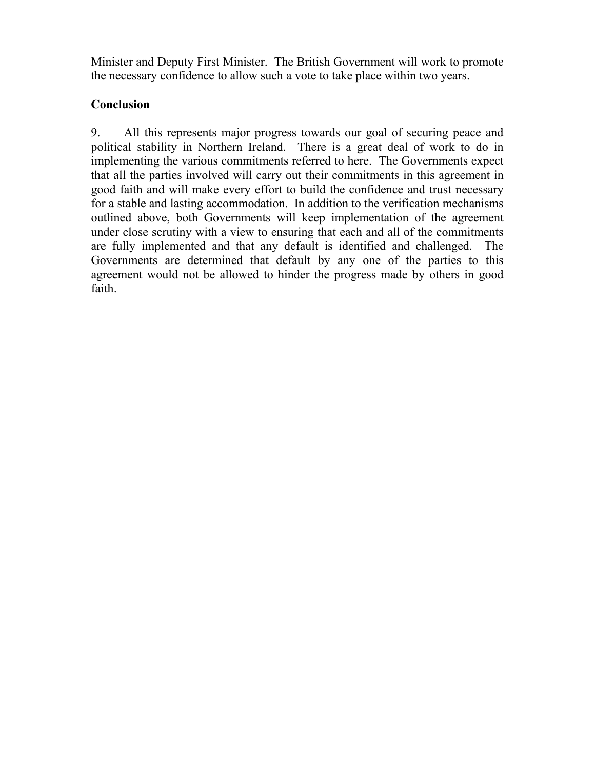Minister and Deputy First Minister. The British Government will work to promote the necessary confidence to allow such a vote to take place within two years.

# **Conclusion**

9. All this represents major progress towards our goal of securing peace and political stability in Northern Ireland. There is a great deal of work to do in implementing the various commitments referred to here. The Governments expect that all the parties involved will carry out their commitments in this agreement in good faith and will make every effort to build the confidence and trust necessary for a stable and lasting accommodation. In addition to the verification mechanisms outlined above, both Governments will keep implementation of the agreement under close scrutiny with a view to ensuring that each and all of the commitments are fully implemented and that any default is identified and challenged. The Governments are determined that default by any one of the parties to this agreement would not be allowed to hinder the progress made by others in good faith.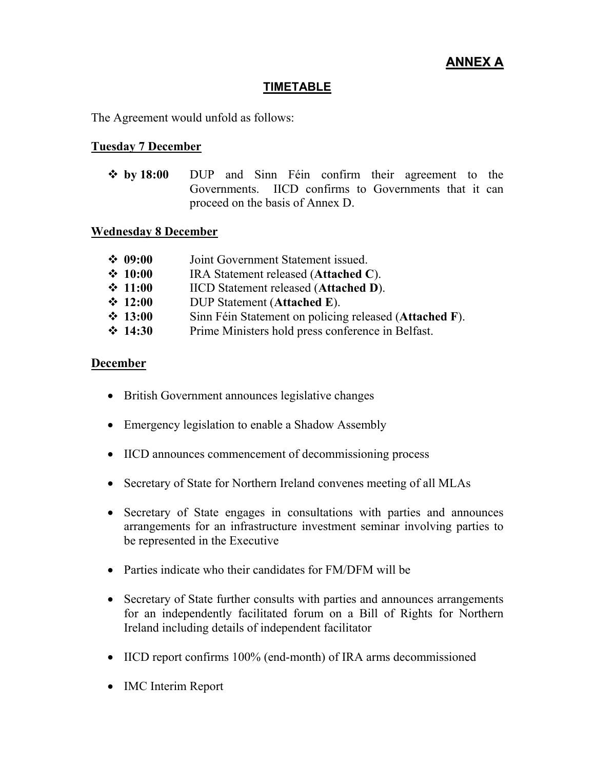# **ANNEX A**

#### **TIMETABLE**

The Agreement would unfold as follows:

#### **Tuesday 7 December**

 **by 18:00** DUP and Sinn Féin confirm their agreement to the Governments. IICD confirms to Governments that it can proceed on the basis of Annex D.

#### **Wednesday 8 December**

| $\div 09:00$ | Joint Government Statement issued.                     |
|--------------|--------------------------------------------------------|
| $\div 10:00$ | IRA Statement released (Attached C).                   |
| $\div$ 11:00 | IICD Statement released (Attached D).                  |
| $\div$ 12:00 | DUP Statement (Attached E).                            |
| $\div$ 13:00 | Sinn Féin Statement on policing released (Attached F). |
| $\div$ 14:30 | Prime Ministers hold press conference in Belfast.      |

#### **December**

- British Government announces legislative changes
- Emergency legislation to enable a Shadow Assembly
- IICD announces commencement of decommissioning process
- Secretary of State for Northern Ireland convenes meeting of all MLAs
- Secretary of State engages in consultations with parties and announces arrangements for an infrastructure investment seminar involving parties to be represented in the Executive
- Parties indicate who their candidates for FM/DFM will be
- Secretary of State further consults with parties and announces arrangements for an independently facilitated forum on a Bill of Rights for Northern Ireland including details of independent facilitator
- IICD report confirms 100% (end-month) of IRA arms decommissioned
- IMC Interim Report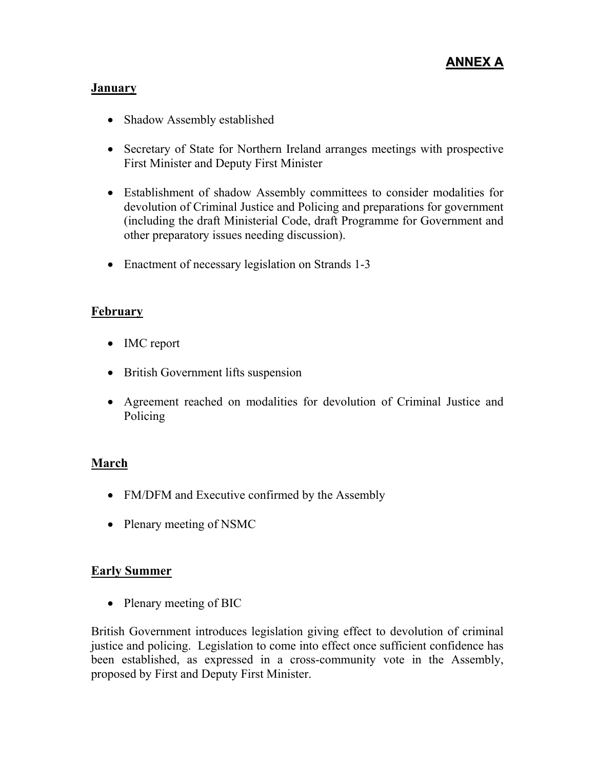#### **January**

- Shadow Assembly established
- Secretary of State for Northern Ireland arranges meetings with prospective First Minister and Deputy First Minister
- Establishment of shadow Assembly committees to consider modalities for devolution of Criminal Justice and Policing and preparations for government (including the draft Ministerial Code, draft Programme for Government and other preparatory issues needing discussion).
- Enactment of necessary legislation on Strands 1-3

#### **February**

- IMC report
- British Government lifts suspension
- Agreement reached on modalities for devolution of Criminal Justice and Policing

# **March**

- FM/DFM and Executive confirmed by the Assembly
- Plenary meeting of NSMC

# **Early Summer**

• Plenary meeting of BIC

British Government introduces legislation giving effect to devolution of criminal justice and policing. Legislation to come into effect once sufficient confidence has been established, as expressed in a cross-community vote in the Assembly, proposed by First and Deputy First Minister.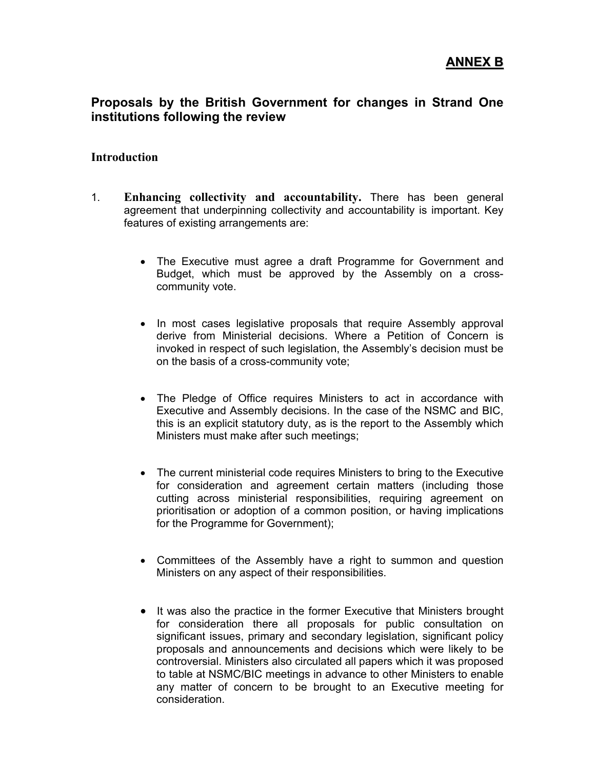# **Proposals by the British Government for changes in Strand One institutions following the review**

#### **Introduction**

- 1. **Enhancing collectivity and accountability.** There has been general agreement that underpinning collectivity and accountability is important. Key features of existing arrangements are:
	- The Executive must agree a draft Programme for Government and Budget, which must be approved by the Assembly on a crosscommunity vote.
	- In most cases legislative proposals that require Assembly approval derive from Ministerial decisions. Where a Petition of Concern is invoked in respect of such legislation, the Assembly's decision must be on the basis of a cross-community vote;
	- The Pledge of Office requires Ministers to act in accordance with Executive and Assembly decisions. In the case of the NSMC and BIC, this is an explicit statutory duty, as is the report to the Assembly which Ministers must make after such meetings;
	- The current ministerial code requires Ministers to bring to the Executive for consideration and agreement certain matters (including those cutting across ministerial responsibilities, requiring agreement on prioritisation or adoption of a common position, or having implications for the Programme for Government);
	- Committees of the Assembly have a right to summon and question Ministers on any aspect of their responsibilities.
	- It was also the practice in the former Executive that Ministers brought for consideration there all proposals for public consultation on significant issues, primary and secondary legislation, significant policy proposals and announcements and decisions which were likely to be controversial. Ministers also circulated all papers which it was proposed to table at NSMC/BIC meetings in advance to other Ministers to enable any matter of concern to be brought to an Executive meeting for consideration.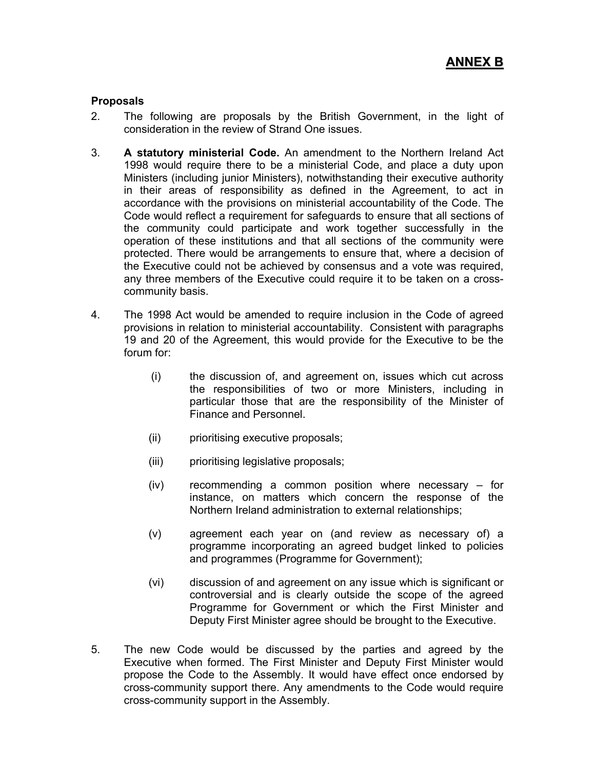#### **Proposals**

- 2. The following are proposals by the British Government, in the light of consideration in the review of Strand One issues.
- 3. **A statutory ministerial Code.** An amendment to the Northern Ireland Act 1998 would require there to be a ministerial Code, and place a duty upon Ministers (including junior Ministers), notwithstanding their executive authority in their areas of responsibility as defined in the Agreement, to act in accordance with the provisions on ministerial accountability of the Code. The Code would reflect a requirement for safeguards to ensure that all sections of the community could participate and work together successfully in the operation of these institutions and that all sections of the community were protected. There would be arrangements to ensure that, where a decision of the Executive could not be achieved by consensus and a vote was required, any three members of the Executive could require it to be taken on a crosscommunity basis.
- 4. The 1998 Act would be amended to require inclusion in the Code of agreed provisions in relation to ministerial accountability. Consistent with paragraphs 19 and 20 of the Agreement, this would provide for the Executive to be the forum for:
	- (i) the discussion of, and agreement on, issues which cut across the responsibilities of two or more Ministers, including in particular those that are the responsibility of the Minister of Finance and Personnel.
	- (ii) prioritising executive proposals;
	- (iii) prioritising legislative proposals;
	- (iv) recommending a common position where necessary for instance, on matters which concern the response of the Northern Ireland administration to external relationships;
	- (v) agreement each year on (and review as necessary of) a programme incorporating an agreed budget linked to policies and programmes (Programme for Government);
	- (vi) discussion of and agreement on any issue which is significant or controversial and is clearly outside the scope of the agreed Programme for Government or which the First Minister and Deputy First Minister agree should be brought to the Executive.
- 5. The new Code would be discussed by the parties and agreed by the Executive when formed. The First Minister and Deputy First Minister would propose the Code to the Assembly. It would have effect once endorsed by cross-community support there. Any amendments to the Code would require cross-community support in the Assembly.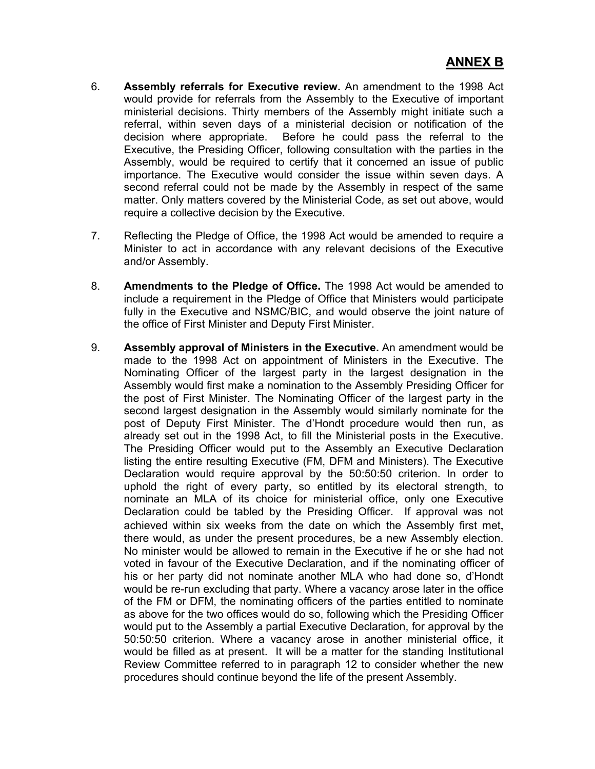- 6. **Assembly referrals for Executive review.** An amendment to the 1998 Act would provide for referrals from the Assembly to the Executive of important ministerial decisions. Thirty members of the Assembly might initiate such a referral, within seven days of a ministerial decision or notification of the decision where appropriate. Before he could pass the referral to the Executive, the Presiding Officer, following consultation with the parties in the Assembly, would be required to certify that it concerned an issue of public importance. The Executive would consider the issue within seven days. A second referral could not be made by the Assembly in respect of the same matter. Only matters covered by the Ministerial Code, as set out above, would require a collective decision by the Executive.
- 7. Reflecting the Pledge of Office, the 1998 Act would be amended to require a Minister to act in accordance with any relevant decisions of the Executive and/or Assembly.
- 8. **Amendments to the Pledge of Office.** The 1998 Act would be amended to include a requirement in the Pledge of Office that Ministers would participate fully in the Executive and NSMC/BIC, and would observe the joint nature of the office of First Minister and Deputy First Minister.
- 9. **Assembly approval of Ministers in the Executive.** An amendment would be made to the 1998 Act on appointment of Ministers in the Executive. The Nominating Officer of the largest party in the largest designation in the Assembly would first make a nomination to the Assembly Presiding Officer for the post of First Minister. The Nominating Officer of the largest party in the second largest designation in the Assembly would similarly nominate for the post of Deputy First Minister. The d'Hondt procedure would then run, as already set out in the 1998 Act, to fill the Ministerial posts in the Executive. The Presiding Officer would put to the Assembly an Executive Declaration listing the entire resulting Executive (FM, DFM and Ministers). The Executive Declaration would require approval by the 50:50:50 criterion. In order to uphold the right of every party, so entitled by its electoral strength, to nominate an MLA of its choice for ministerial office, only one Executive Declaration could be tabled by the Presiding Officer. If approval was not achieved within six weeks from the date on which the Assembly first met, there would, as under the present procedures, be a new Assembly election. No minister would be allowed to remain in the Executive if he or she had not voted in favour of the Executive Declaration, and if the nominating officer of his or her party did not nominate another MLA who had done so, d'Hondt would be re-run excluding that party. Where a vacancy arose later in the office of the FM or DFM, the nominating officers of the parties entitled to nominate as above for the two offices would do so, following which the Presiding Officer would put to the Assembly a partial Executive Declaration, for approval by the 50:50:50 criterion. Where a vacancy arose in another ministerial office, it would be filled as at present. It will be a matter for the standing Institutional Review Committee referred to in paragraph 12 to consider whether the new procedures should continue beyond the life of the present Assembly.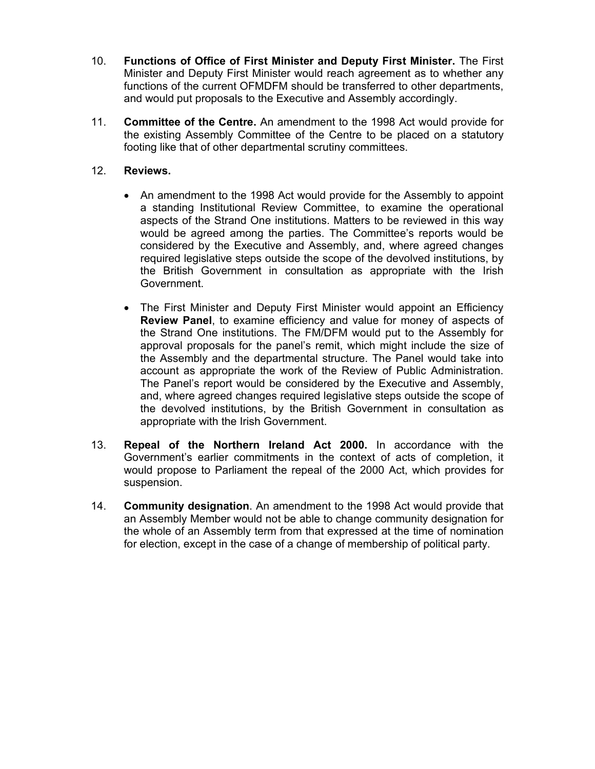- 10. **Functions of Office of First Minister and Deputy First Minister.** The First Minister and Deputy First Minister would reach agreement as to whether any functions of the current OFMDFM should be transferred to other departments, and would put proposals to the Executive and Assembly accordingly.
- 11. **Committee of the Centre.** An amendment to the 1998 Act would provide for the existing Assembly Committee of the Centre to be placed on a statutory footing like that of other departmental scrutiny committees.

#### 12. **Reviews.**

- An amendment to the 1998 Act would provide for the Assembly to appoint a standing Institutional Review Committee, to examine the operational aspects of the Strand One institutions. Matters to be reviewed in this way would be agreed among the parties. The Committee's reports would be considered by the Executive and Assembly, and, where agreed changes required legislative steps outside the scope of the devolved institutions, by the British Government in consultation as appropriate with the Irish Government.
- The First Minister and Deputy First Minister would appoint an Efficiency **Review Panel**, to examine efficiency and value for money of aspects of the Strand One institutions. The FM/DFM would put to the Assembly for approval proposals for the panel's remit, which might include the size of the Assembly and the departmental structure. The Panel would take into account as appropriate the work of the Review of Public Administration. The Panel's report would be considered by the Executive and Assembly, and, where agreed changes required legislative steps outside the scope of the devolved institutions, by the British Government in consultation as appropriate with the Irish Government.
- 13. **Repeal of the Northern Ireland Act 2000.** In accordance with the Government's earlier commitments in the context of acts of completion, it would propose to Parliament the repeal of the 2000 Act, which provides for suspension.
- 14. **Community designation**. An amendment to the 1998 Act would provide that an Assembly Member would not be able to change community designation for the whole of an Assembly term from that expressed at the time of nomination for election, except in the case of a change of membership of political party.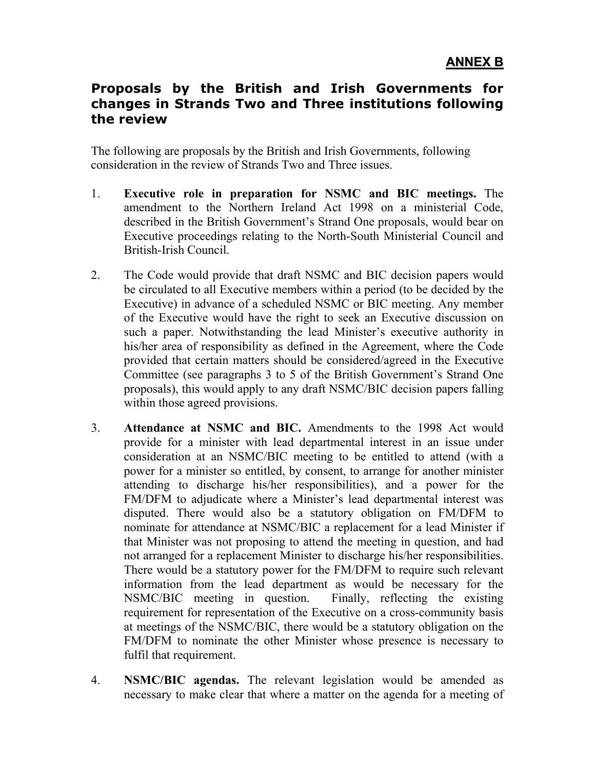# **Proposals by the British and Irish Governments for changes in Strands Two and Three institutions following the review**

The following are proposals by the British and Irish Governments, following consideration in the review of Strands Two and Three issues.

- 1. **Executive role in preparation for NSMC and BIC meetings.** The amendment to the Northern Ireland Act 1998 on a ministerial Code, described in the British Government's Strand One proposals, would bear on Executive proceedings relating to the North-South Ministerial Council and British-Irish Council.
- 2. The Code would provide that draft NSMC and BIC decision papers would be circulated to all Executive members within a period (to be decided by the Executive) in advance of a scheduled NSMC or BIC meeting. Any member of the Executive would have the right to seek an Executive discussion on such a paper. Notwithstanding the lead Minister's executive authority in his/her area of responsibility as defined in the Agreement, where the Code provided that certain matters should be considered/agreed in the Executive Committee (see paragraphs 3 to 5 of the British Government's Strand One proposals), this would apply to any draft NSMC/BIC decision papers falling within those agreed provisions.
- 3. **Attendance at NSMC and BIC.** Amendments to the 1998 Act would provide for a minister with lead departmental interest in an issue under consideration at an NSMC/BIC meeting to be entitled to attend (with a power for a minister so entitled, by consent, to arrange for another minister attending to discharge his/her responsibilities), and a power for the FM/DFM to adjudicate where a Minister's lead departmental interest was disputed. There would also be a statutory obligation on FM/DFM to nominate for attendance at NSMC/BIC a replacement for a lead Minister if that Minister was not proposing to attend the meeting in question, and had not arranged for a replacement Minister to discharge his/her responsibilities. There would be a statutory power for the FM/DFM to require such relevant information from the lead department as would be necessary for the NSMC/BIC meeting in question. Finally, reflecting the existing requirement for representation of the Executive on a cross-community basis at meetings of the NSMC/BIC, there would be a statutory obligation on the FM/DFM to nominate the other Minister whose presence is necessary to fulfil that requirement.
- 4. **NSMC/BIC agendas.** The relevant legislation would be amended as necessary to make clear that where a matter on the agenda for a meeting of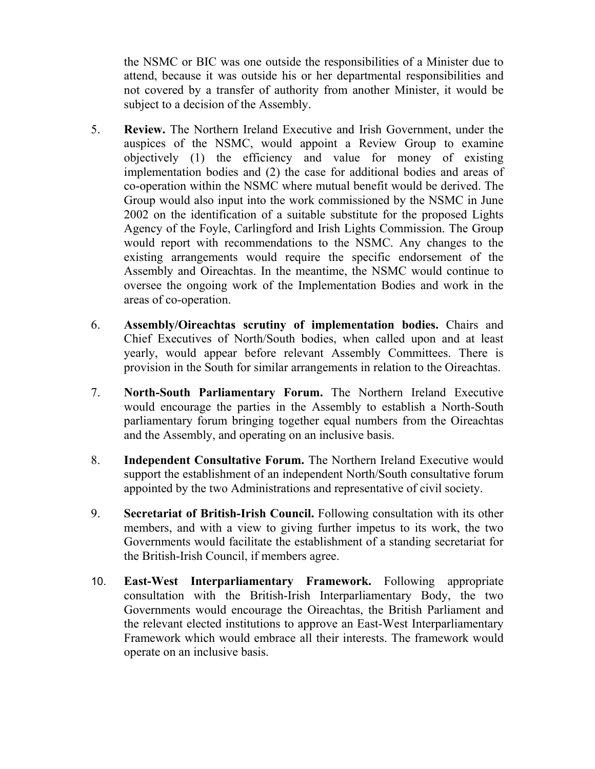the NSMC or BIC was one outside the responsibilities of a Minister due to attend, because it was outside his or her departmental responsibilities and not covered by a transfer of authority from another Minister, it would be subject to a decision of the Assembly.

- 5. **Review.** The Northern Ireland Executive and Irish Government, under the auspices of the NSMC, would appoint a Review Group to examine objectively (1) the efficiency and value for money of existing implementation bodies and (2) the case for additional bodies and areas of co-operation within the NSMC where mutual benefit would be derived. The Group would also input into the work commissioned by the NSMC in June 2002 on the identification of a suitable substitute for the proposed Lights Agency of the Foyle, Carlingford and Irish Lights Commission. The Group would report with recommendations to the NSMC. Any changes to the existing arrangements would require the specific endorsement of the Assembly and Oireachtas. In the meantime, the NSMC would continue to oversee the ongoing work of the Implementation Bodies and work in the areas of co-operation.
- 6. **Assembly/Oireachtas scrutiny of implementation bodies.** Chairs and Chief Executives of North/South bodies, when called upon and at least yearly, would appear before relevant Assembly Committees. There is provision in the South for similar arrangements in relation to the Oireachtas.
- 7. **North-South Parliamentary Forum.** The Northern Ireland Executive would encourage the parties in the Assembly to establish a North-South parliamentary forum bringing together equal numbers from the Oireachtas and the Assembly, and operating on an inclusive basis.
- 8. **Independent Consultative Forum.** The Northern Ireland Executive would support the establishment of an independent North/South consultative forum appointed by the two Administrations and representative of civil society.
- 9. **Secretariat of British-Irish Council.** Following consultation with its other members, and with a view to giving further impetus to its work, the two Governments would facilitate the establishment of a standing secretariat for the British-Irish Council, if members agree.
- 10. **East-West Interparliamentary Framework.** Following appropriate consultation with the British-Irish Interparliamentary Body, the two Governments would encourage the Oireachtas, the British Parliament and the relevant elected institutions to approve an East-West Interparliamentary Framework which would embrace all their interests. The framework would operate on an inclusive basis.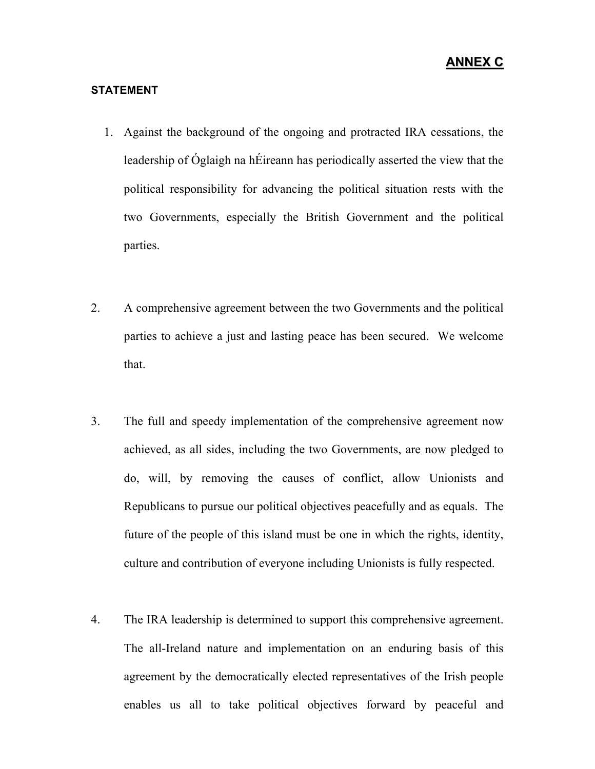#### **ANNEX C**

#### **STATEMENT**

- 1. Against the background of the ongoing and protracted IRA cessations, the leadership of Óglaigh na hÉireann has periodically asserted the view that the political responsibility for advancing the political situation rests with the two Governments, especially the British Government and the political parties.
- 2. A comprehensive agreement between the two Governments and the political parties to achieve a just and lasting peace has been secured. We welcome that.
- 3. The full and speedy implementation of the comprehensive agreement now achieved, as all sides, including the two Governments, are now pledged to do, will, by removing the causes of conflict, allow Unionists and Republicans to pursue our political objectives peacefully and as equals. The future of the people of this island must be one in which the rights, identity, culture and contribution of everyone including Unionists is fully respected.
- 4. The IRA leadership is determined to support this comprehensive agreement. The all-Ireland nature and implementation on an enduring basis of this agreement by the democratically elected representatives of the Irish people enables us all to take political objectives forward by peaceful and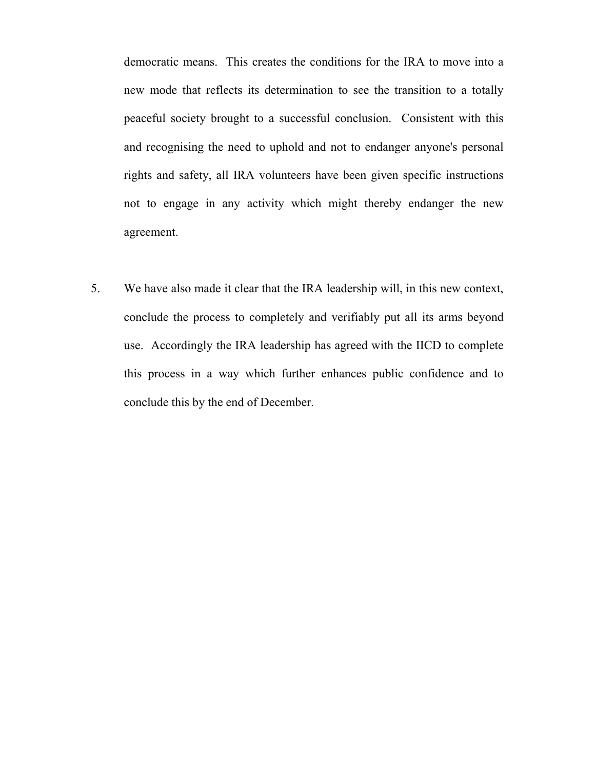democratic means. This creates the conditions for the IRA to move into a new mode that reflects its determination to see the transition to a totally peaceful society brought to a successful conclusion. Consistent with this and recognising the need to uphold and not to endanger anyone's personal rights and safety, all IRA volunteers have been given specific instructions not to engage in any activity which might thereby endanger the new agreement.

5. We have also made it clear that the IRA leadership will, in this new context, conclude the process to completely and verifiably put all its arms beyond use. Accordingly the IRA leadership has agreed with the IICD to complete this process in a way which further enhances public confidence and to conclude this by the end of December.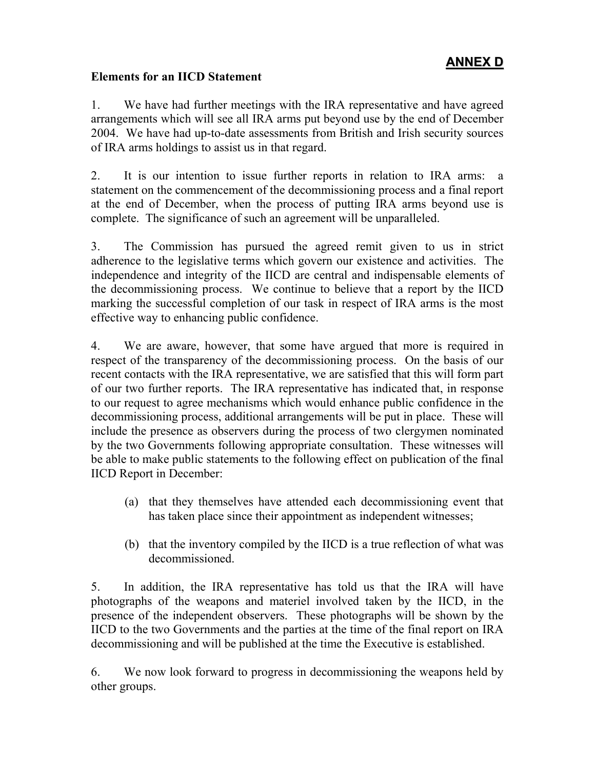# **ANNEX D**

#### **Elements for an IICD Statement**

1. We have had further meetings with the IRA representative and have agreed arrangements which will see all IRA arms put beyond use by the end of December 2004. We have had up-to-date assessments from British and Irish security sources of IRA arms holdings to assist us in that regard.

2. It is our intention to issue further reports in relation to IRA arms: a statement on the commencement of the decommissioning process and a final report at the end of December, when the process of putting IRA arms beyond use is complete. The significance of such an agreement will be unparalleled.

3. The Commission has pursued the agreed remit given to us in strict adherence to the legislative terms which govern our existence and activities. The independence and integrity of the IICD are central and indispensable elements of the decommissioning process. We continue to believe that a report by the IICD marking the successful completion of our task in respect of IRA arms is the most effective way to enhancing public confidence.

4. We are aware, however, that some have argued that more is required in respect of the transparency of the decommissioning process. On the basis of our recent contacts with the IRA representative, we are satisfied that this will form part of our two further reports. The IRA representative has indicated that, in response to our request to agree mechanisms which would enhance public confidence in the decommissioning process, additional arrangements will be put in place. These will include the presence as observers during the process of two clergymen nominated by the two Governments following appropriate consultation. These witnesses will be able to make public statements to the following effect on publication of the final IICD Report in December:

- (a) that they themselves have attended each decommissioning event that has taken place since their appointment as independent witnesses;
- (b) that the inventory compiled by the IICD is a true reflection of what was decommissioned.

5. In addition, the IRA representative has told us that the IRA will have photographs of the weapons and materiel involved taken by the IICD, in the presence of the independent observers. These photographs will be shown by the IICD to the two Governments and the parties at the time of the final report on IRA decommissioning and will be published at the time the Executive is established.

6. We now look forward to progress in decommissioning the weapons held by other groups.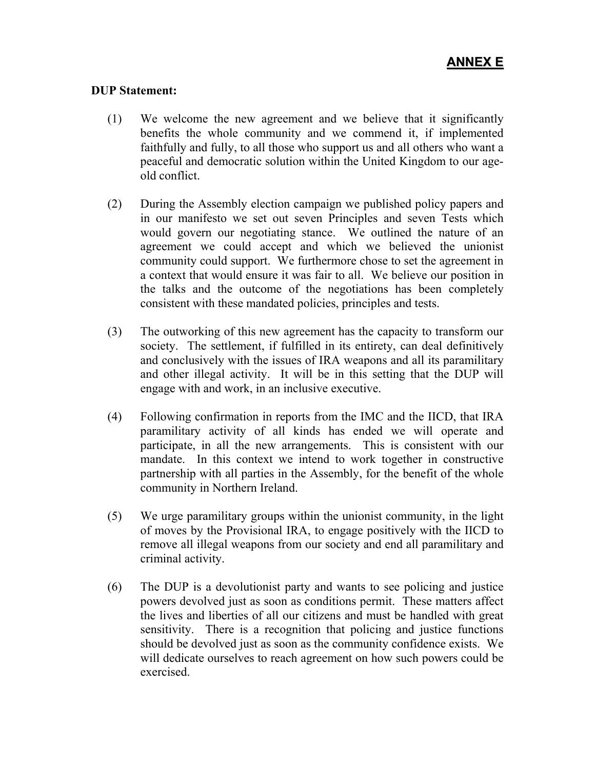#### **DUP Statement:**

- (1) We welcome the new agreement and we believe that it significantly benefits the whole community and we commend it, if implemented faithfully and fully, to all those who support us and all others who want a peaceful and democratic solution within the United Kingdom to our ageold conflict.
- (2) During the Assembly election campaign we published policy papers and in our manifesto we set out seven Principles and seven Tests which would govern our negotiating stance. We outlined the nature of an agreement we could accept and which we believed the unionist community could support. We furthermore chose to set the agreement in a context that would ensure it was fair to all. We believe our position in the talks and the outcome of the negotiations has been completely consistent with these mandated policies, principles and tests.
- (3) The outworking of this new agreement has the capacity to transform our society. The settlement, if fulfilled in its entirety, can deal definitively and conclusively with the issues of IRA weapons and all its paramilitary and other illegal activity. It will be in this setting that the DUP will engage with and work, in an inclusive executive.
- (4) Following confirmation in reports from the IMC and the IICD, that IRA paramilitary activity of all kinds has ended we will operate and participate, in all the new arrangements. This is consistent with our mandate. In this context we intend to work together in constructive partnership with all parties in the Assembly, for the benefit of the whole community in Northern Ireland.
- (5) We urge paramilitary groups within the unionist community, in the light of moves by the Provisional IRA, to engage positively with the IICD to remove all illegal weapons from our society and end all paramilitary and criminal activity.
- (6) The DUP is a devolutionist party and wants to see policing and justice powers devolved just as soon as conditions permit. These matters affect the lives and liberties of all our citizens and must be handled with great sensitivity. There is a recognition that policing and justice functions should be devolved just as soon as the community confidence exists. We will dedicate ourselves to reach agreement on how such powers could be exercised.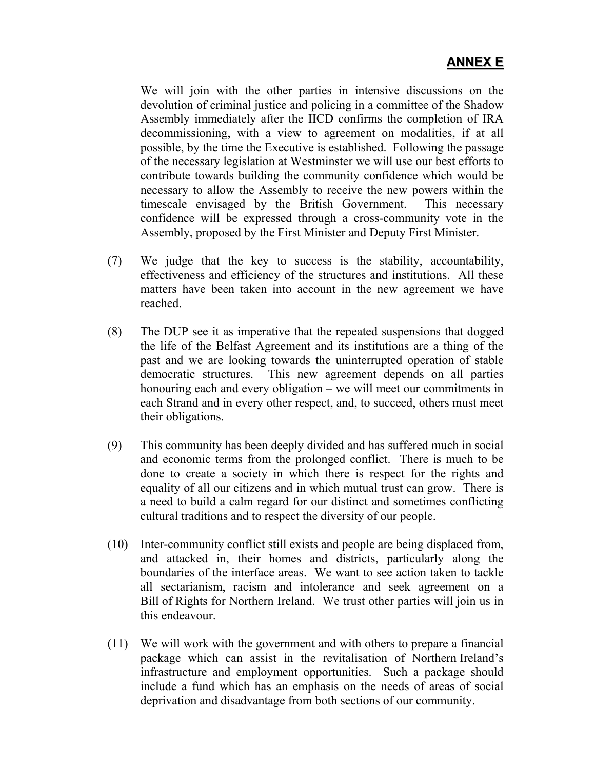We will join with the other parties in intensive discussions on the devolution of criminal justice and policing in a committee of the Shadow Assembly immediately after the IICD confirms the completion of IRA decommissioning, with a view to agreement on modalities, if at all possible, by the time the Executive is established. Following the passage of the necessary legislation at Westminster we will use our best efforts to contribute towards building the community confidence which would be necessary to allow the Assembly to receive the new powers within the timescale envisaged by the British Government. This necessary confidence will be expressed through a cross-community vote in the Assembly, proposed by the First Minister and Deputy First Minister.

- (7) We judge that the key to success is the stability, accountability, effectiveness and efficiency of the structures and institutions. All these matters have been taken into account in the new agreement we have reached.
- (8) The DUP see it as imperative that the repeated suspensions that dogged the life of the Belfast Agreement and its institutions are a thing of the past and we are looking towards the uninterrupted operation of stable democratic structures. This new agreement depends on all parties honouring each and every obligation – we will meet our commitments in each Strand and in every other respect, and, to succeed, others must meet their obligations.
- (9) This community has been deeply divided and has suffered much in social and economic terms from the prolonged conflict. There is much to be done to create a society in which there is respect for the rights and equality of all our citizens and in which mutual trust can grow. There is a need to build a calm regard for our distinct and sometimes conflicting cultural traditions and to respect the diversity of our people.
- (10) Inter-community conflict still exists and people are being displaced from, and attacked in, their homes and districts, particularly along the boundaries of the interface areas. We want to see action taken to tackle all sectarianism, racism and intolerance and seek agreement on a Bill of Rights for Northern Ireland. We trust other parties will join us in this endeavour.
- (11) We will work with the government and with others to prepare a financial package which can assist in the revitalisation of Northern Ireland's infrastructure and employment opportunities. Such a package should include a fund which has an emphasis on the needs of areas of social deprivation and disadvantage from both sections of our community.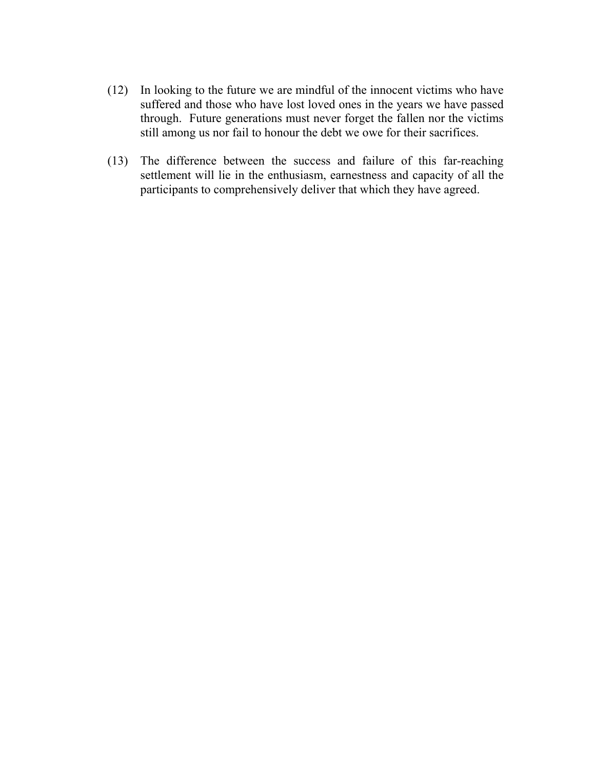- (12) In looking to the future we are mindful of the innocent victims who have suffered and those who have lost loved ones in the years we have passed through. Future generations must never forget the fallen nor the victims still among us nor fail to honour the debt we owe for their sacrifices.
- (13) The difference between the success and failure of this far-reaching settlement will lie in the enthusiasm, earnestness and capacity of all the participants to comprehensively deliver that which they have agreed.